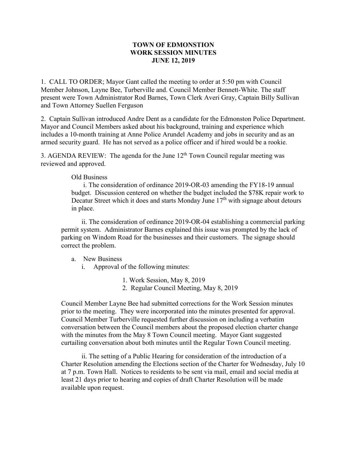## **TOWN OF EDMONSTION WORK SESSION MINUTES JUNE 12, 2019**

1. CALL TO ORDER; Mayor Gant called the meeting to order at 5:50 pm with Council Member Johnson, Layne Bee, Turberville and. Council Member Bennett-White. The staff present were Town Administrator Rod Barnes, Town Clerk Averi Gray, Captain Billy Sullivan and Town Attorney Suellen Ferguson

2. Captain Sullivan introduced Andre Dent as a candidate for the Edmonston Police Department. Mayor and Council Members asked about his background, training and experience which includes a 10-month training at Anne Police Arundel Academy and jobs in security and as an armed security guard. He has not served as a police officer and if hired would be a rookie.

3. AGENDA REVIEW: The agenda for the June  $12<sup>th</sup>$  Town Council regular meeting was reviewed and approved.

## Old Business

 i. The consideration of ordinance 2019-OR-03 amending the FY18-19 annual budget. Discussion centered on whether the budget included the \$78K repair work to Decatur Street which it does and starts Monday June  $17<sup>th</sup>$  with signage about detours in place.

ii. The consideration of ordinance 2019-OR-04 establishing a commercial parking permit system. Administrator Barnes explained this issue was prompted by the lack of parking on Windom Road for the businesses and their customers. The signage should correct the problem.

## a. New Business

- i. Approval of the following minutes:
	- 1. Work Session, May 8, 2019
	- 2. Regular Council Meeting, May 8, 2019

Council Member Layne Bee had submitted corrections for the Work Session minutes prior to the meeting. They were incorporated into the minutes presented for approval. Council Member Turberville requested further discussion on including a verbatim conversation between the Council members about the proposed election charter change with the minutes from the May 8 Town Council meeting. Mayor Gant suggested curtailing conversation about both minutes until the Regular Town Council meeting.

ii. The setting of a Public Hearing for consideration of the introduction of a Charter Resolution amending the Elections section of the Charter for Wednesday, July 10 at 7 p.m. Town Hall. Notices to residents to be sent via mail, email and social media at least 21 days prior to hearing and copies of draft Charter Resolution will be made available upon request.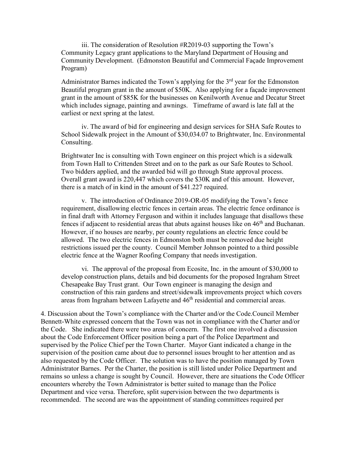iii. The consideration of Resolution #R2019-03 supporting the Town's Community Legacy grant applications to the Maryland Department of Housing and Community Development. (Edmonston Beautiful and Commercial Façade Improvement Program)

Administrator Barnes indicated the Town's applying for the  $3<sup>rd</sup>$  year for the Edmonston Beautiful program grant in the amount of \$50K. Also applying for a façade improvement grant in the amount of \$85K for the businesses on Kenilworth Avenue and Decatur Street which includes signage, painting and awnings. Timeframe of award is late fall at the earliest or next spring at the latest.

iv. The award of bid for engineering and design services for SHA Safe Routes to School Sidewalk project in the Amount of \$30,034.07 to Brightwater, Inc. Environmental Consulting.

Brightwater Inc is consulting with Town engineer on this project which is a sidewalk from Town Hall to Crittenden Street and on to the park as our Safe Routes to School. Two bidders applied, and the awarded bid will go through State approval process. Overall grant award is 220,447 which covers the \$30K and of this amount. However, there is a match of in kind in the amount of \$41.227 required.

v. The introduction of Ordinance 2019-OR-05 modifying the Town's fence requirement, disallowing electric fences in certain areas. The electric fence ordinance is in final draft with Attorney Ferguson and within it includes language that disallows these fences if adjacent to residential areas that abuts against houses like on 46<sup>th</sup> and Buchanan. However, if no houses are nearby, per county regulations an electric fence could be allowed. The two electric fences in Edmonston both must be removed due height restrictions issued per the county. Council Member Johnson pointed to a third possible electric fence at the Wagner Roofing Company that needs investigation.

vi. The approval of the proposal from Ecosite, Inc. in the amount of \$30,000 to develop construction plans, details and bid documents for the proposed Ingraham Street Chesapeake Bay Trust grant. Our Town engineer is managing the design and construction of this rain gardens and street/sidewalk improvements project which covers areas from Ingraham between Lafayette and  $46<sup>th</sup>$  residential and commercial areas.

4. Discussion about the Town's compliance with the Charter and/or the Code.Council Member Bennett-White expressed concern that the Town was not in compliance with the Charter and/or the Code. She indicated there were two areas of concern. The first one involved a discussion about the Code Enforcement Officer position being a part of the Police Department and supervised by the Police Chief per the Town Charter. Mayor Gant indicated a change in the supervision of the position came about due to personnel issues brought to her attention and as also requested by the Code Officer. The solution was to have the position managed by Town Administrator Barnes. Per the Charter, the position is still listed under Police Department and remains so unless a change is sought by Council. However, there are situations the Code Officer encounters whereby the Town Administrator is better suited to manage than the Police Department and vice versa. Therefore, split supervision between the two departments is recommended. The second are was the appointment of standing committees required per